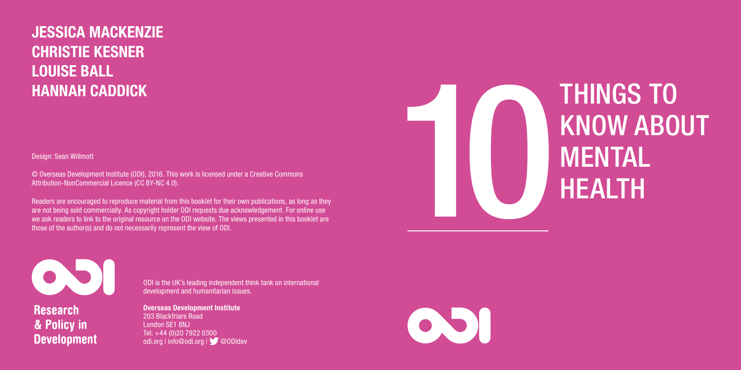### JESSICA MACKENZIE CHRISTIE KESNER LOUISE BALL HANNAH CADDICK

Design: Sean Willmott

© Overseas Development Institute (ODI), 2016. This work is licensed under a Creative Commons Attribution-NonCommercial Licence (CC BY-NC 4.0).

Readers are encouraged to reproduce material from this booklet for their own publications, as long as they are not being sold commercially. As copyright holder ODI requests due acknowledgement. For online use we ask readers to link to the original resource on the ODI website. The views presented in this booklet are those of the author(s) and do not necessarily represent the view of ODI.



**Research** & Policy in **Development**  ODI is the UK's leading independent think tank on international development and humanitarian issues.

Overseas Development Institute 203 Blackfriars Road London SE1 8NJ Tel: +44 (0)20 7922 0300 odi.org | info@odi.org | state @ODIdev



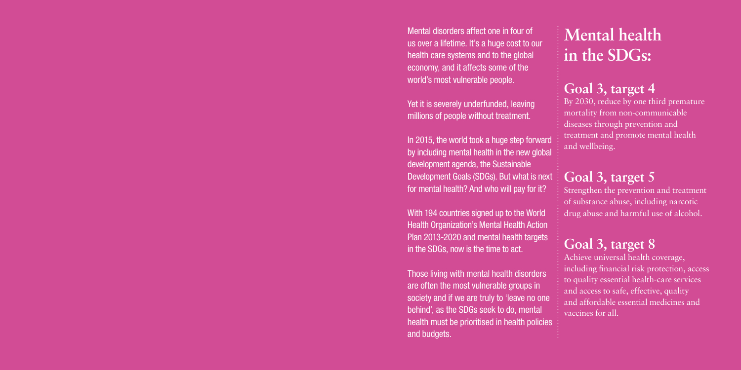Mental disorders affect one in four of us over a lifetime. It's a huge cost to our health care systems and to the global economy, and it affects some of the world's most vulnerable people.

Yet it is severely underfunded, leaving millions of people without treatment.

In 2015, the world took a huge step forward by including mental health in the new global development agenda, the Sustainable Development Goals (SDGs). But what is next for mental health? And who will pay for it?

With 194 countries signed up to the World Health Organization's Mental Health Action Plan 2013-2020 and mental health targets in the SDGs, now is the time to act.

Those living with mental health disorders are often the most vulnerable groups in society and if we are truly to 'leave no one behind', as the SDGs seek to do, mental health must be prioritised in health policies and budgets.

### **Mental health in the SDGs:**

#### **Goal 3, target 4**

By 2030, reduce by one third premature mortality from non-communicable diseases through prevention and treatment and promote mental health and wellbeing.

#### **Goal 3, target 5**

Strengthen the prevention and treatment of substance abuse, including narcotic drug abuse and harmful use of alcohol.

#### **Goal 3, target 8**

Achieve universal health coverage, including financial risk protection, access to quality essential health-care services and access to safe, effective, quality and affordable essential medicines and vaccines for all.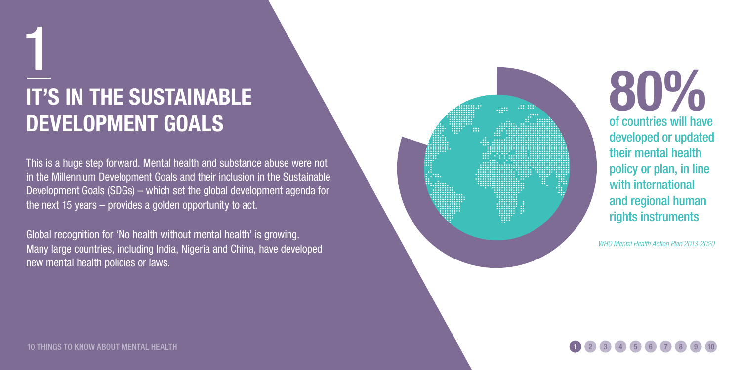# IT'S IN THE SU DEVELOPMENT GO **T'S IN THE SUST<br>DEVELOPMENT (<br>This is a huge step forward. Mental<br>in the Millennium Development Goal<br>Development Goals (SDGs) – which<br>the next 15 years – provides a gold<br>Global recognition for 'No health wi<br>Many large cou**

This is a huge step forward. Mental health and substance abuse were not in the Millennium Development Goals and their inclusion in the Sustainable Development Goals (SDGs) – which set the global development agenda for the next 15 years – provides a golden opportunity to act.

Global recognition for 'No health without mental health' is growing. Many large countries, including India, Nigeria and China, have developed



### 80% of countries will have developed or updated their mental health policy or plan, in line with international

and regional human rights instruments

*WHO Mental Health Action Plan 2013-2020* 

#### 1 2 3 4 5 6 7 8 9 10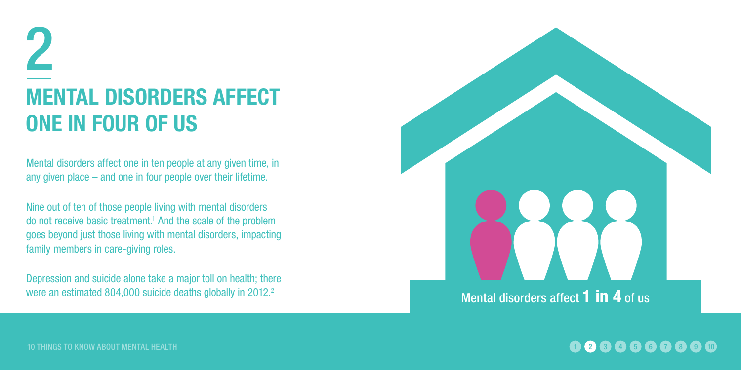## Mental DISORDERS affect one in four of us 2

Mental disorders affect one in ten people at any given time, in any given place – and one in four people over their lifetime.

Nine out of ten of those people living with mental disorders do not receive basic treatment.<sup>1</sup> And the scale of the problem goes beyond just those living with mental disorders, impacting family members in care-giving roles.

Depression and suicide alone take a major toll on health; there were an estimated 804,000 suicide deaths globally in 2012.<sup>2</sup>



### 10 THINGS TO KNOW ABOUT MENTAL HEALTH **1 2 3 4 5 6 7 8 7 8 7 8 7 8 10 10 11 3 4 5 6 7 8 9 10 1** 3  $\pm$  3  $\pm$  3  $\pm$  3  $\pm$  3  $\pm$  3  $\pm$  3  $\pm$  3  $\pm$  3  $\pm$  3  $\pm$  3  $\pm$  3  $\pm$  3  $\pm$  3  $\pm$  3  $\pm$  3  $\pm$  3  $\pm$  3  $\pm$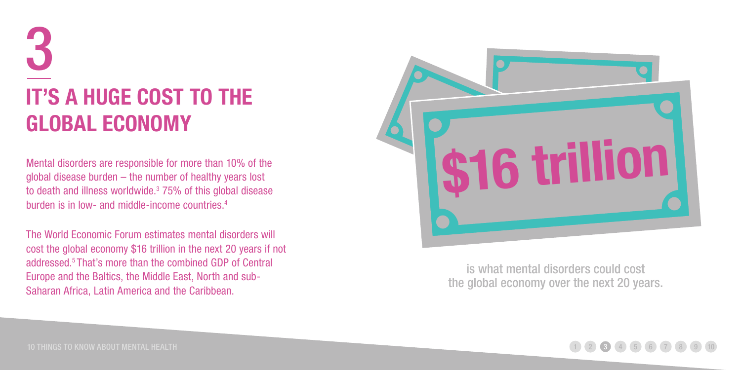## IT'S A HUGE COST TO THE global economy 3

Mental disorders are responsible for more than 10% of the global disease burden – the number of healthy years lost to death and illness worldwide. $3$  75% of this global disease burden is in low- and middle-income countries.4

The World Economic Forum estimates mental disorders will cost the global economy \$16 trillion in the next 20 years if not addressed.5 That's more than the combined GDP of Central Europe and the Baltics, the Middle East, North and sub-Saharan Africa, Latin America and the Caribbean.



is what mental disorders could cost the global economy over the next 20 years.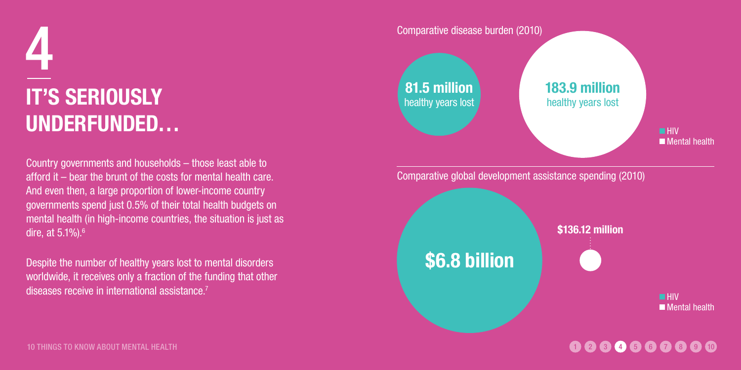# **IT'S SERIOUSLY** underfunded… 4

Country governments and households – those least able to afford it – bear the brunt of the costs for mental health care. And even then, a large proportion of lower-income country governments spend just 0.5% of their total health budgets on mental health (in high-income countries, the situation is just as dire, at  $5.1\%$ ). $^{6}$ 

Despite the number of healthy years lost to mental disorders worldwide, it receives only a fraction of the funding that other diseases receive in international assistance.7

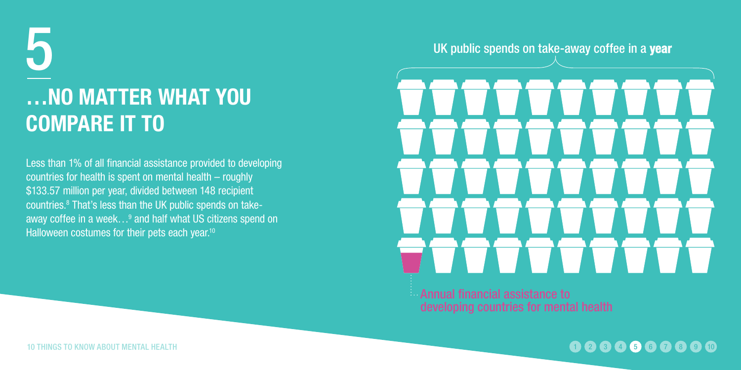## …no matter what you compare it to 5

Less than 1% of all financial assistance provided to developing countries for health is spent on mental health – roughly \$133.57 million per year, divided between 148 recipient countries.8 That's less than the UK public spends on takeaway coffee in a week $\ldots^9$  and half what US citizens spend on Halloween costumes for their pets each year.<sup>10</sup>

UK public spends on take-away coffee in a year

Annual financial assistance to developing countries for mental health

10 THINGS TO KNOW ABOUT MENTAL HEALTH **12 3 4 5 6 7 8 9 10**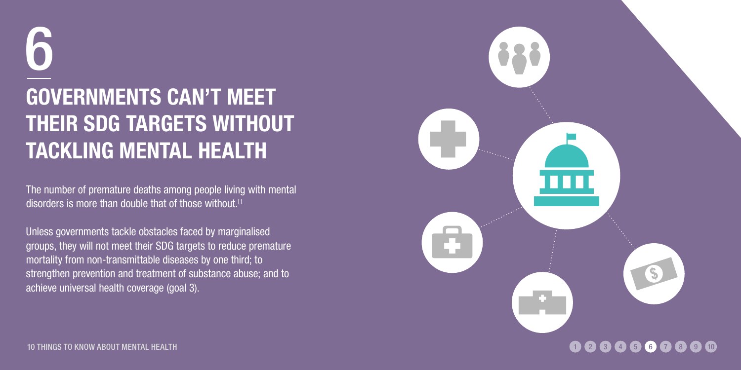# GOVERNMENTS CAN'T M their SDG targets without TACKLING MENTAL HEALTH **GOVERNMENTS CAN<br>THEIR SDG TARGETS<br>TACKLING MENTAL I<br>The number of premature deaths among pe<br>disorders is more than double that of those<br>Unless governments tackle obstacles faced<br>groups, they will not meet their SDG target**

The number of premature deaths among people living with mental disorders is more than double that of those without.11

Unless governments tackle obstacles faced by marginalised groups, they will not meet their SDG targets to reduce premature mortality from non-transmittable diseases by one third; to strengthen prevention and treatment of substance abuse; and to

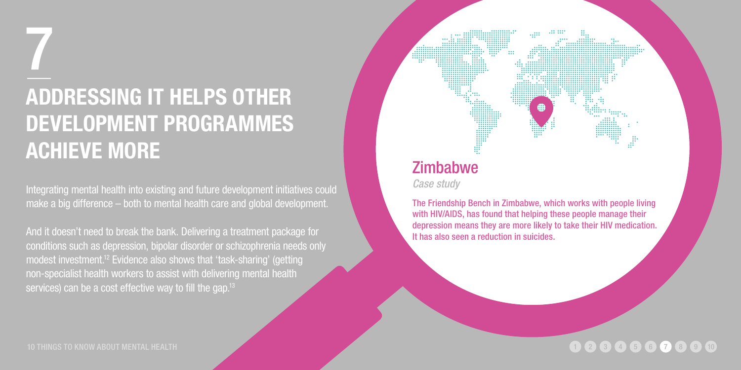### Addressing it helps other development programmes **ACHIEVE MORE** 7

Integrating mental health into existing and future development initiatives could make a big difference – both to mental health care and global development.

And it doesn't need to break the bank. Delivering a treatment package for conditions such as depression, bipolar disorder or schizophrenia needs only modest investment.12 Evidence also shows that 'task-sharing' (getting non-specialist health workers to assist with delivering mental health services) can be a cost effective way to fill the gap.<sup>13</sup>

#### Zimbabwe *Case study*

The Friendship Bench in Zimbabwe, which works with people living with HIV/AIDS, has found that helping these people manage their depression means they are more likely to take their HIV medication. It has also seen a reduction in suicides.

### 10 THINGS TO KNOW ABOUT MENTAL HEALTH **1 2 3 4 5 6 7 8 9 10** 3 4  $\pm$  3  $\pm$  3  $\pm$  3  $\pm$  3  $\pm$  3  $\pm$  3  $\pm$  3  $\pm$  3  $\pm$  3  $\pm$  3  $\pm$  3  $\pm$  3  $\pm$  3  $\pm$  3  $\pm$  3  $\pm$  3  $\pm$  3  $\pm$  3  $\pm$  3  $\pm$  3  $\pm$  3  $\pm$  3  $\pm$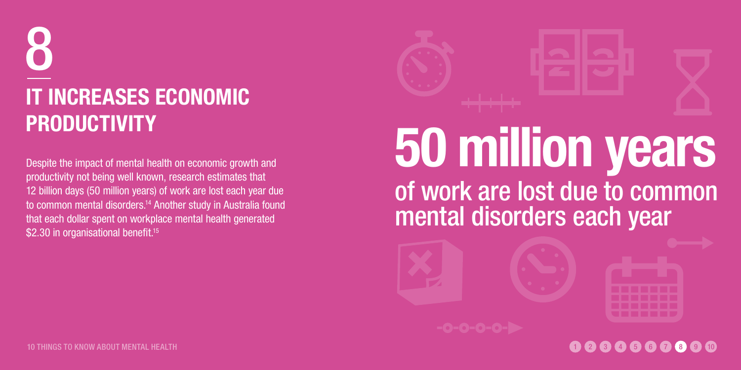## It increases economic **PRODUCTIVITY** 8

Despite the impact of mental health on economic growth and productivity not being well known, research estimates that 12 billion days (50 million years) of work are lost each year due to common mental disorders.<sup>14</sup> Another study in Australia found that each dollar spent on workplace mental health generated \$2.30 in organisational benefit.<sup>15</sup>



### 50 million years of work are lost due to common mental disorders each year





10 THINGS TO KNOW ABOUT MENTAL HEALTH **1 2 3 4 5 6 7 8 9 10 12 3 4 5 6 7 8 9 10** 12 3 4 5 6 7 8 9 10 12 3 4 5 6 7 8 9 10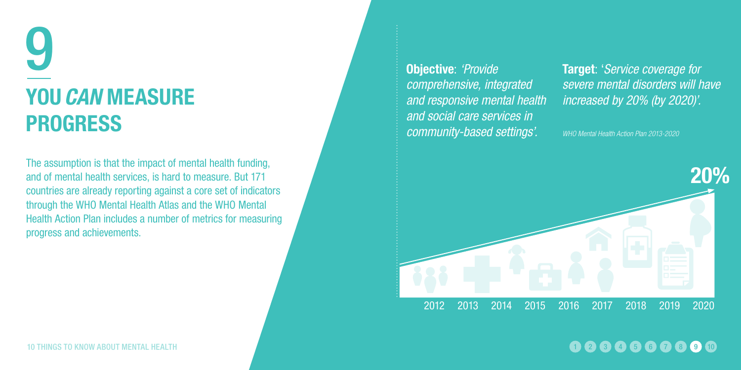## You*can* measure **PROGRESS** 9

The assumption is that the impact of mental health funding, and of mental health services, is hard to measure. But 171 countries are already reporting against a core set of indicators through the WHO Mental Health Atlas and the WHO Mental Health Action Plan includes a number of metrics for measuring progress and achievements.

Objective: *'Provide comprehensive, integrated and responsive mental health and social care services in community-based settings'.*

Target: '*Service coverage for severe mental disorders will have increased by 20% (by 2020)'.*

*WHO Mental Health Action Plan 2013-2020* 



### 10 THINGS TO KNOW ABOUT MENTAL HEALTH **1 2 3**  $\blacksquare$  **2 3**  $\blacksquare$  **3**  $\blacksquare$  **3**  $\blacksquare$  **3**  $\blacksquare$  **3**  $\blacksquare$  **3**  $\blacksquare$  **3**  $\blacksquare$  **3**  $\blacksquare$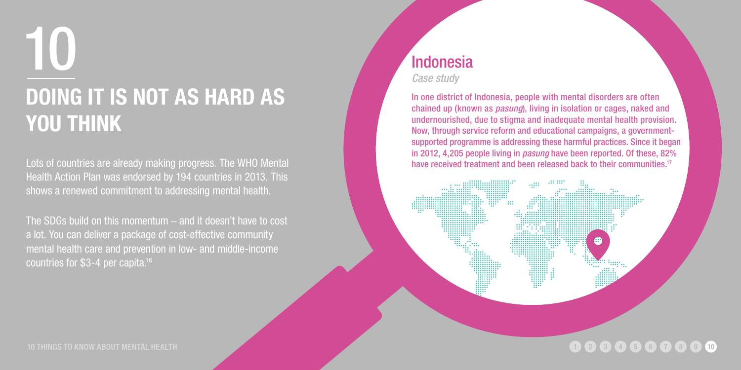# Doing it is not as hard as you think 10

Lots of countries are already making progress. The WHO Mental Health Action Plan was endorsed by 194 countries in 2013. This shows a renewed commitment to addressing mental health.

The SDGs build on this momentum – and it doesn't have to cost a lot. You can deliver a package of cost-effective community mental health care and prevention in low- and middle-income countries for \$3-4 per capita.16

### Indonesia

#### *Case study*

In one district of Indonesia, people with mental disorders are often chained up (known as *pasung*), living in isolation or cages, naked and undernourished, due to stigma and inadequate mental health provision. Now, through service reform and educational campaigns, a governmentsupported programme is addressing these harmful practices. Since it began in 2012, 4,205 people living in *pasung* have been reported. Of these, 82% have received treatment and been released back to their communities.<sup>17</sup>

### 10 THINGS TO KNOW ABOUT MENTAL HEALTH **1 2 3 4 5 6 7 8 9 10**